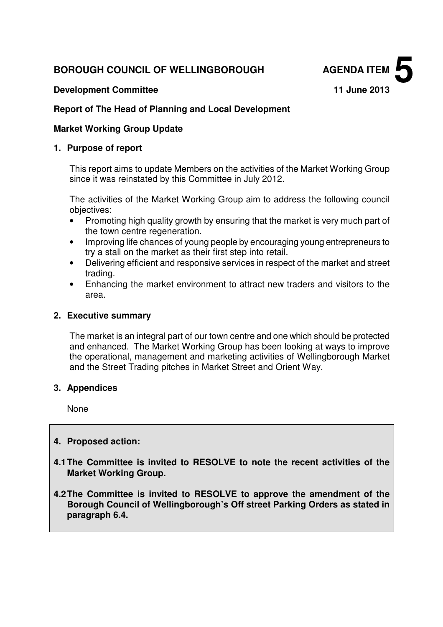# **BOROUGH COUNCIL OF WELLINGBOROUGH AGENDA ITEM**



### **Development Committee 11 June 2013**

# **Report of The Head of Planning and Local Development**

### **Market Working Group Update**

#### **1. Purpose of report**

This report aims to update Members on the activities of the Market Working Group since it was reinstated by this Committee in July 2012.

The activities of the Market Working Group aim to address the following council objectives:

- Promoting high quality growth by ensuring that the market is very much part of the town centre regeneration.
- Improving life chances of young people by encouraging young entrepreneurs to try a stall on the market as their first step into retail.
- Delivering efficient and responsive services in respect of the market and street trading.
- Enhancing the market environment to attract new traders and visitors to the area.

#### **2. Executive summary**

The market is an integral part of our town centre and one which should be protected and enhanced. The Market Working Group has been looking at ways to improve the operational, management and marketing activities of Wellingborough Market and the Street Trading pitches in Market Street and Orient Way.

#### **3. Appendices**

None

# **4. Proposed action:**

- **4.1 The Committee is invited to RESOLVE to note the recent activities of the Market Working Group.**
- **4.2 The Committee is invited to RESOLVE to approve the amendment of the Borough Council of Wellingborough's Off street Parking Orders as stated in paragraph 6.4.**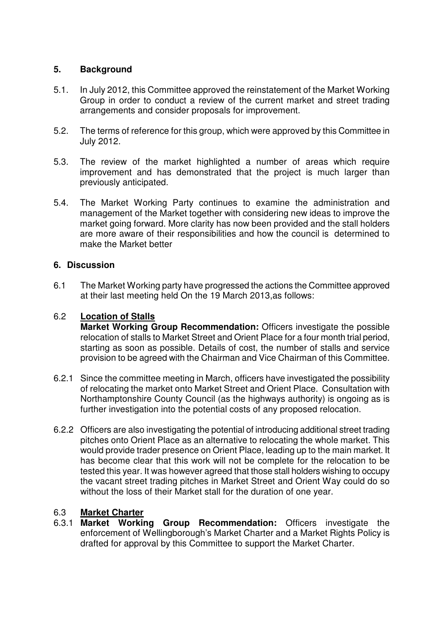### **5. Background**

- 5.1. In July 2012, this Committee approved the reinstatement of the Market Working Group in order to conduct a review of the current market and street trading arrangements and consider proposals for improvement.
- 5.2. The terms of reference for this group, which were approved by this Committee in July 2012.
- 5.3. The review of the market highlighted a number of areas which require improvement and has demonstrated that the project is much larger than previously anticipated.
- 5.4. The Market Working Party continues to examine the administration and management of the Market together with considering new ideas to improve the market going forward. More clarity has now been provided and the stall holders are more aware of their responsibilities and how the council is determined to make the Market better

### **6. Discussion**

6.1 The Market Working party have progressed the actions the Committee approved at their last meeting held On the 19 March 2013,as follows:

### 6.2 **Location of Stalls**

**Market Working Group Recommendation:** Officers investigate the possible relocation of stalls to Market Street and Orient Place for a four month trial period, starting as soon as possible. Details of cost, the number of stalls and service provision to be agreed with the Chairman and Vice Chairman of this Committee.

- 6.2.1 Since the committee meeting in March, officers have investigated the possibility of relocating the market onto Market Street and Orient Place. Consultation with Northamptonshire County Council (as the highways authority) is ongoing as is further investigation into the potential costs of any proposed relocation.
- 6.2.2 Officers are also investigating the potential of introducing additional street trading pitches onto Orient Place as an alternative to relocating the whole market. This would provide trader presence on Orient Place, leading up to the main market. It has become clear that this work will not be complete for the relocation to be tested this year. It was however agreed that those stall holders wishing to occupy the vacant street trading pitches in Market Street and Orient Way could do so without the loss of their Market stall for the duration of one year.

#### 6.3 **Market Charter**

6.3.1 **Market Working Group Recommendation:** Officers investigate the enforcement of Wellingborough's Market Charter and a Market Rights Policy is drafted for approval by this Committee to support the Market Charter.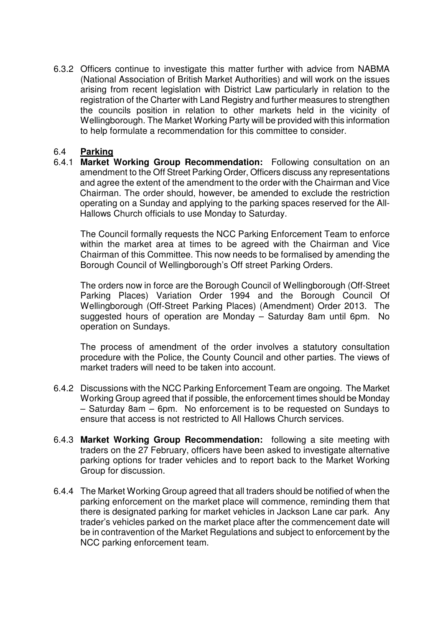6.3.2 Officers continue to investigate this matter further with advice from NABMA (National Association of British Market Authorities) and will work on the issues arising from recent legislation with District Law particularly in relation to the registration of the Charter with Land Registry and further measures to strengthen the councils position in relation to other markets held in the vicinity of Wellingborough. The Market Working Party will be provided with this information to help formulate a recommendation for this committee to consider.

#### 6.4 **Parking**

6.4.1 **Market Working Group Recommendation:** Following consultation on an amendment to the Off Street Parking Order, Officers discuss any representations and agree the extent of the amendment to the order with the Chairman and Vice Chairman. The order should, however, be amended to exclude the restriction operating on a Sunday and applying to the parking spaces reserved for the All-Hallows Church officials to use Monday to Saturday.

The Council formally requests the NCC Parking Enforcement Team to enforce within the market area at times to be agreed with the Chairman and Vice Chairman of this Committee. This now needs to be formalised by amending the Borough Council of Wellingborough's Off street Parking Orders.

The orders now in force are the Borough Council of Wellingborough (Off-Street Parking Places) Variation Order 1994 and the Borough Council Of Wellingborough (Off-Street Parking Places) (Amendment) Order 2013. The suggested hours of operation are Monday – Saturday 8am until 6pm. No operation on Sundays.

The process of amendment of the order involves a statutory consultation procedure with the Police, the County Council and other parties. The views of market traders will need to be taken into account.

- 6.4.2 Discussions with the NCC Parking Enforcement Team are ongoing. The Market Working Group agreed that if possible, the enforcement times should be Monday – Saturday 8am – 6pm. No enforcement is to be requested on Sundays to ensure that access is not restricted to All Hallows Church services.
- 6.4.3 **Market Working Group Recommendation:** following a site meeting with traders on the 27 February, officers have been asked to investigate alternative parking options for trader vehicles and to report back to the Market Working Group for discussion.
- 6.4.4 The Market Working Group agreed that all traders should be notified of when the parking enforcement on the market place will commence, reminding them that there is designated parking for market vehicles in Jackson Lane car park. Any trader's vehicles parked on the market place after the commencement date will be in contravention of the Market Regulations and subject to enforcement by the NCC parking enforcement team.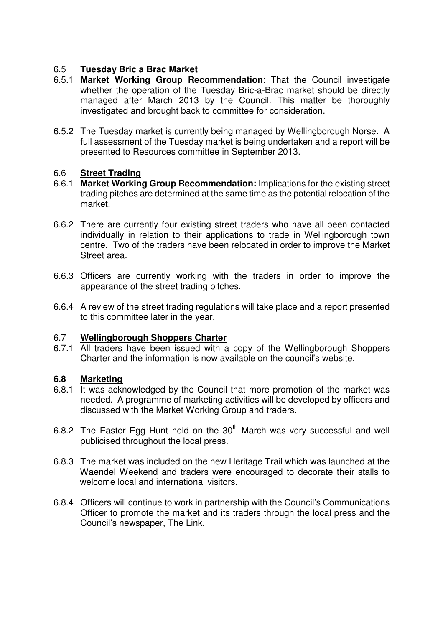# 6.5 **Tuesday Bric a Brac Market**

- 6.5.1 **Market Working Group Recommendation**: That the Council investigate whether the operation of the Tuesday Bric-a-Brac market should be directly managed after March 2013 by the Council. This matter be thoroughly investigated and brought back to committee for consideration.
- 6.5.2 The Tuesday market is currently being managed by Wellingborough Norse. A full assessment of the Tuesday market is being undertaken and a report will be presented to Resources committee in September 2013.

# 6.6 **Street Trading**

- 6.6.1 **Market Working Group Recommendation:** Implications for the existing street trading pitches are determined at the same time as the potential relocation of the market.
- 6.6.2 There are currently four existing street traders who have all been contacted individually in relation to their applications to trade in Wellingborough town centre. Two of the traders have been relocated in order to improve the Market Street area.
- 6.6.3 Officers are currently working with the traders in order to improve the appearance of the street trading pitches.
- 6.6.4 A review of the street trading regulations will take place and a report presented to this committee later in the year.

#### 6.7 **Wellingborough Shoppers Charter**

6.7.1 All traders have been issued with a copy of the Wellingborough Shoppers Charter and the information is now available on the council's website.

#### **6.8 Marketing**

- 6.8.1 It was acknowledged by the Council that more promotion of the market was needed. A programme of marketing activities will be developed by officers and discussed with the Market Working Group and traders.
- 6.8.2 The Easter Egg Hunt held on the  $30<sup>th</sup>$  March was very successful and well publicised throughout the local press.
- 6.8.3 The market was included on the new Heritage Trail which was launched at the Waendel Weekend and traders were encouraged to decorate their stalls to welcome local and international visitors.
- 6.8.4 Officers will continue to work in partnership with the Council's Communications Officer to promote the market and its traders through the local press and the Council's newspaper, The Link.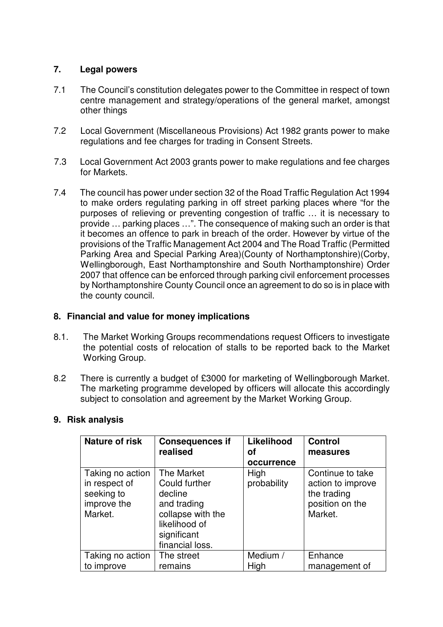# **7. Legal powers**

- 7.1 The Council's constitution delegates power to the Committee in respect of town centre management and strategy/operations of the general market, amongst other things
- 7.2 Local Government (Miscellaneous Provisions) Act 1982 grants power to make regulations and fee charges for trading in Consent Streets.
- 7.3 Local Government Act 2003 grants power to make regulations and fee charges for Markets.
- 7.4 The council has power under section 32 of the Road Traffic Regulation Act 1994 to make orders regulating parking in off street parking places where "for the purposes of relieving or preventing congestion of traffic … it is necessary to provide … parking places …". The consequence of making such an order is that it becomes an offence to park in breach of the order. However by virtue of the provisions of the Traffic Management Act 2004 and The Road Traffic (Permitted Parking Area and Special Parking Area)(County of Northamptonshire)(Corby, Wellingborough, East Northamptonshire and South Northamptonshire) Order 2007 that offence can be enforced through parking civil enforcement processes by Northamptonshire County Council once an agreement to do so is in place with the county council.

#### **8. Financial and value for money implications**

- 8.1. The Market Working Groups recommendations request Officers to investigate the potential costs of relocation of stalls to be reported back to the Market Working Group.
- 8.2 There is currently a budget of £3000 for marketing of Wellingborough Market. The marketing programme developed by officers will allocate this accordingly subject to consolation and agreement by the Market Working Group.

| <b>Nature of risk</b>                                                     | <b>Consequences if</b><br>realised                                                                                            | Likelihood<br>οf    | <b>Control</b><br>measures                                                         |
|---------------------------------------------------------------------------|-------------------------------------------------------------------------------------------------------------------------------|---------------------|------------------------------------------------------------------------------------|
|                                                                           |                                                                                                                               | occurrence          |                                                                                    |
| Taking no action<br>in respect of<br>seeking to<br>improve the<br>Market. | The Market<br>Could further<br>decline<br>and trading<br>collapse with the<br>likelihood of<br>significant<br>financial loss. | High<br>probability | Continue to take<br>action to improve<br>the trading<br>position on the<br>Market. |
| Taking no action                                                          | The street                                                                                                                    | Medium /            | Enhance                                                                            |
| to improve                                                                | remains                                                                                                                       | High                | management of                                                                      |

# **9. Risk analysis**